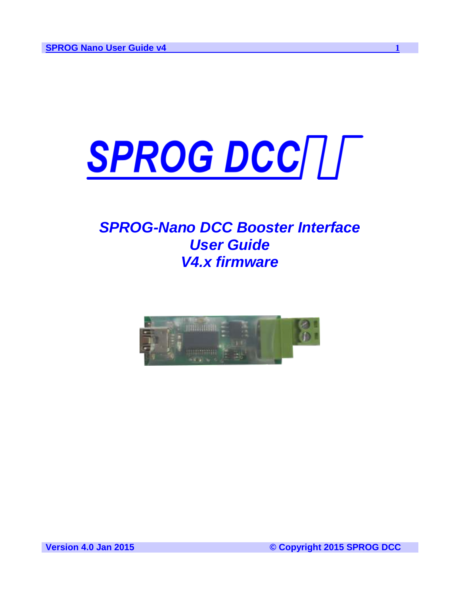

# *SPROG-Nano DCC Booster Interface User Guide V4.x firmware*



**Version 4.0 Jan 2015 © Copyright 2015 SPROG DCC**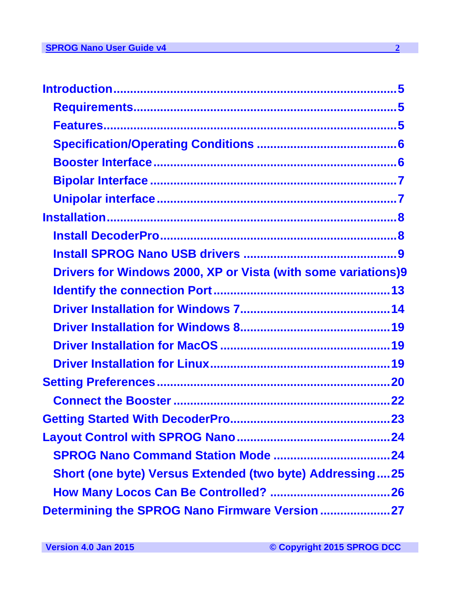| Drivers for Windows 2000, XP or Vista (with some variations)9   |  |
|-----------------------------------------------------------------|--|
|                                                                 |  |
|                                                                 |  |
|                                                                 |  |
|                                                                 |  |
|                                                                 |  |
|                                                                 |  |
|                                                                 |  |
|                                                                 |  |
|                                                                 |  |
|                                                                 |  |
| <b>Short (one byte) Versus Extended (two byte) Addressing25</b> |  |
|                                                                 |  |
|                                                                 |  |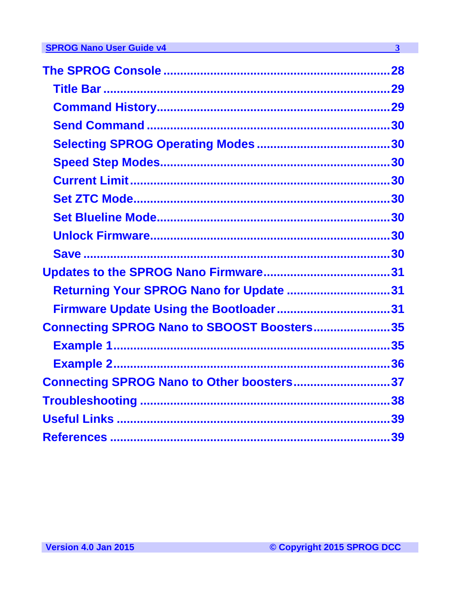| Returning Your SPROG Nano for Update 31    |  |
|--------------------------------------------|--|
| Firmware Update Using the Bootloader31     |  |
| Connecting SPROG Nano to SBOOST Boosters35 |  |
|                                            |  |
|                                            |  |
| Connecting SPROG Nano to Other boosters37  |  |
|                                            |  |
|                                            |  |
|                                            |  |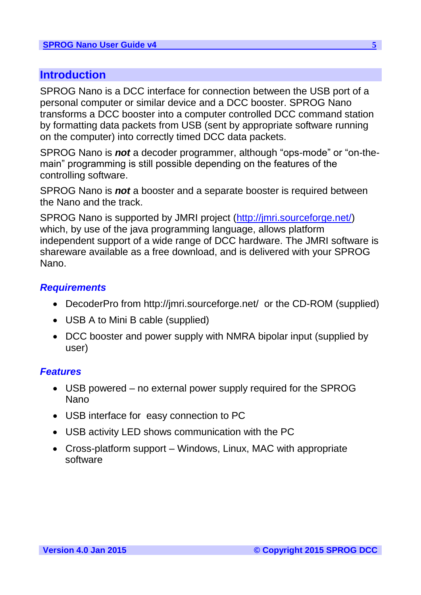## <span id="page-4-0"></span>**Introduction**

SPROG Nano is a DCC interface for connection between the USB port of a personal computer or similar device and a DCC booster. SPROG Nano transforms a DCC booster into a computer controlled DCC command station by formatting data packets from USB (sent by appropriate software running on the computer) into correctly timed DCC data packets.

SPROG Nano is *not* a decoder programmer, although "ops-mode" or "on-themain" programming is still possible depending on the features of the controlling software.

SPROG Nano is *not* a booster and a separate booster is required between the Nano and the track.

<span id="page-4-1"></span>SPROG Nano is supported by JMRI project (http://jmri.sourceforge.net/) which, by use of the java programming language, allows platform independent support of a wide range of DCC hardware. The JMRI software is shareware available as a free download, and is delivered with your SPROG Nano.

#### *Requirements*

- DecoderPro from [http://jmri.sourceforge.net/](http://jmri.sourceforge.net/%20%20) or the CD-ROM (supplied)
- <span id="page-4-2"></span>• USB A to Mini B cable (supplied)
- DCC booster and power supply with NMRA bipolar input (supplied by user)

#### *Features*

- USB powered no external power supply required for the SPROG Nano
- USB interface for easy connection to PC
- USB activity LED shows communication with the PC
- Cross-platform support Windows, Linux, MAC with appropriate software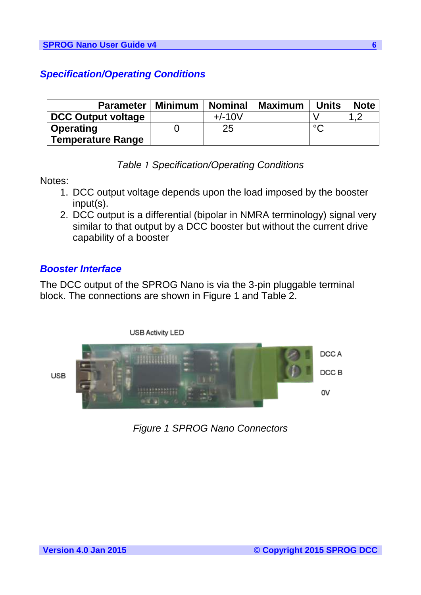## <span id="page-5-0"></span>*Specification/Operating Conditions*

| <b>Parameter</b>          | Minimum | <b>Nominal</b> | <b>Maximum</b> | <b>Units</b> | <b>Note</b> |
|---------------------------|---------|----------------|----------------|--------------|-------------|
| <b>DCC Output voltage</b> |         | $+/-10V$       |                |              | ◢           |
| <b>Operating</b>          |         | 25             |                | $\circ$      |             |
| <b>Temperature Range</b>  |         |                |                |              |             |

*Table 1 Specification/Operating Conditions*

Notes:

- 1. DCC output voltage depends upon the load imposed by the booster input(s).
- <span id="page-5-1"></span>2. DCC output is a differential (bipolar in NMRA terminology) signal very similar to that output by a DCC booster but without the current drive capability of a booster

## *Booster Interface*

The DCC output of the SPROG Nano is via the 3-pin pluggable terminal block. The connections are shown in [Figure 1](#page-5-2) and [Table 2.](#page-6-2)

<span id="page-5-2"></span>

*Figure 1 SPROG Nano Connectors*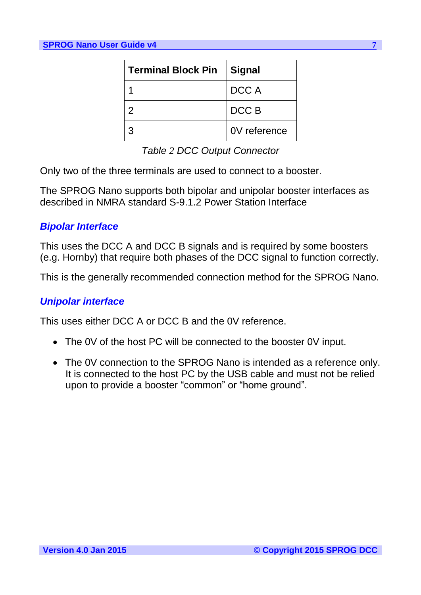| <b>Terminal Block Pin</b> | <b>Signal</b> |
|---------------------------|---------------|
|                           | DCC A         |
| $\mathcal{P}$             | DCC B         |
| 3                         | 0V reference  |

*Table 2 DCC Output Connector*

<span id="page-6-2"></span>Only two of the three terminals are used to connect to a booster.

<span id="page-6-0"></span>The SPROG Nano supports both bipolar and unipolar booster interfaces as described in NMRA standard S-9.1.2 Power Station Interface

## *Bipolar Interface*

<span id="page-6-1"></span>This uses the DCC A and DCC B signals and is required by some boosters (e.g. Hornby) that require both phases of the DCC signal to function correctly.

This is the generally recommended connection method for the SPROG Nano.

## *Unipolar interface*

This uses either DCC A or DCC B and the 0V reference.

- The 0V of the host PC will be connected to the booster 0V input.
- The 0V connection to the SPROG Nano is intended as a reference only. It is connected to the host PC by the USB cable and must not be relied upon to provide a booster "common" or "home ground".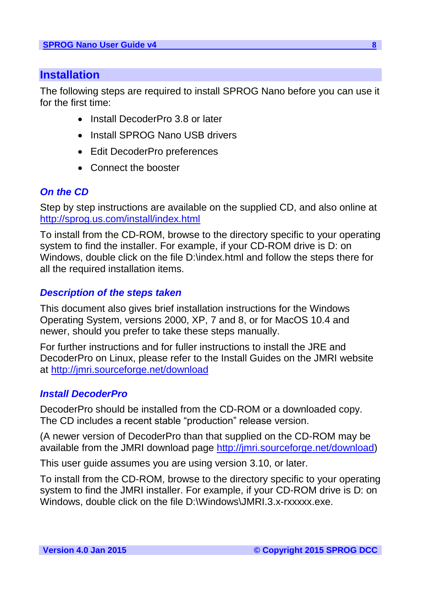## <span id="page-7-0"></span>**Installation**

The following steps are required to install SPROG Nano before you can use it for the first time:

- Install DecoderPro 3.8 or later
- Install SPROG Nano USB drivers
- Edit DecoderPro preferences
- Connect the booster

## *On the CD*

Step by step instructions are available on the supplied CD, and also online at <http://sprog.us.com/install/index.html>

To install from the CD-ROM, browse to the directory specific to your operating system to find the installer. For example, if your CD-ROM drive is D: on Windows, double click on the file D:\index.html and follow the steps there for all the required installation items.

## *Description of the steps taken*

This document also gives brief installation instructions for the Windows Operating System, versions 2000, XP, 7 and 8, or for MacOS 10.4 and newer, should you prefer to take these steps manually.

<span id="page-7-1"></span>For further instructions and for fuller instructions to install the JRE and DecoderPro on Linux, please refer to the Install Guides on the JMRI website at<http://jmri.sourceforge.net/download>

## *Install DecoderPro*

DecoderPro should be installed from the CD-ROM or a downloaded copy. The CD includes a recent stable "production" release version.

(A newer version of DecoderPro than that supplied on the CD-ROM may be available from the JMRI download page [http://jmri.sourceforge.net/download\)](http://jmri.sourceforge.net/download)

This user guide assumes you are using version 3.10, or later.

To install from the CD-ROM, browse to the directory specific to your operating system to find the JMRI installer. For example, if your CD-ROM drive is D: on Windows, double click on the file D:\Windows\JMRI.3.x-rxxxxx.exe.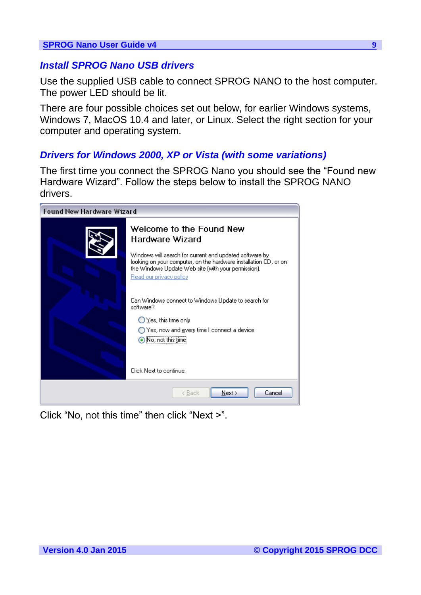## <span id="page-8-0"></span>*Install SPROG Nano USB drivers*

Use the supplied USB cable to connect SPROG NANO to the host computer. The power LED should be lit.

<span id="page-8-1"></span>There are four possible choices set out below, for earlier Windows systems, Windows 7, MacOS 10.4 and later, or Linux. Select the right section for your computer and operating system.

## *Drivers for Windows 2000, XP or Vista (with some variations)*

The first time you connect the SPROG Nano you should see the "Found new Hardware Wizard". Follow the steps below to install the SPROG NANO drivers.



Click "No, not this time" then click "Next >".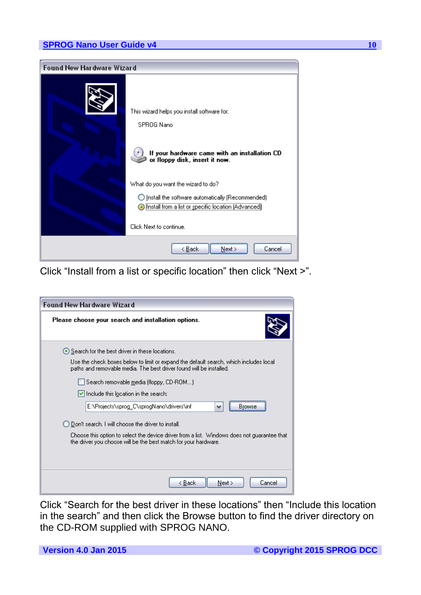

Click "Install from a list or specific location" then click "Next >".

| <b>Found New Hardware Wizard</b>                                                                                                                               |
|----------------------------------------------------------------------------------------------------------------------------------------------------------------|
| Please choose your search and installation options.                                                                                                            |
| ● Search for the best driver in these locations.                                                                                                               |
| Use the check boxes below to limit or expand the default search, which includes local<br>paths and removable media. The best driver found will be installed.   |
| Search removable media (floppy, CD-ROM)                                                                                                                        |
| $\triangleright$ Include this location in the search:                                                                                                          |
| E:\Projects\sprog_C\sprogNano\drivers\inf<br>Browse                                                                                                            |
| ◯ Don't search. I will choose the driver to install.                                                                                                           |
| Choose this option to select the device driver from a list. Windows does not quarantee that<br>the driver you choose will be the best match for your hardware. |
|                                                                                                                                                                |
| Cancel<br>< Back<br>Next                                                                                                                                       |

Click "Search for the best driver in these locations" then "Include this location in the search" and then click the Browse button to find the driver directory on the CD-ROM supplied with SPROG NANO.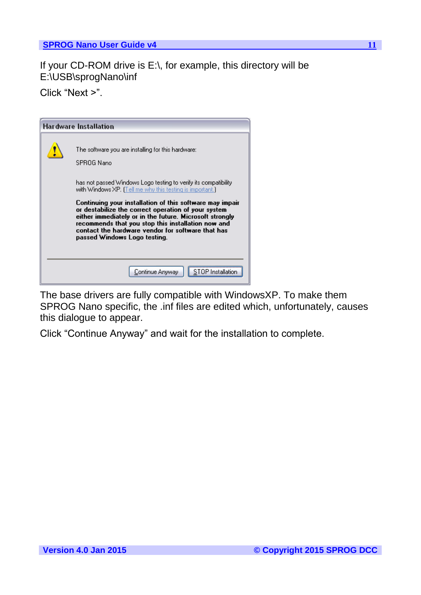If your CD-ROM drive is E:\, for example, this directory will be E:\USB\sprogNano\inf

Click "Next >".

| <b>Hardware Installation</b>                                                                                                                                                                                                                                                                                                                                                                                                                                                                                               |
|----------------------------------------------------------------------------------------------------------------------------------------------------------------------------------------------------------------------------------------------------------------------------------------------------------------------------------------------------------------------------------------------------------------------------------------------------------------------------------------------------------------------------|
| The software you are installing for this hardware:<br>SPROG Nano<br>has not passed Windows Logo testing to verify its compatibility.<br>with Windows XP. [Tell me why this testing is important.]<br>Continuing your installation of this software may impair<br>or destabilize the correct operation of your system<br>either immediately or in the future. Microsoft strongly<br>recommends that you stop this installation now and<br>contact the hardware vendor for software that has<br>passed Windows Logo testing. |
| Continue Anyway                                                                                                                                                                                                                                                                                                                                                                                                                                                                                                            |

The base drivers are fully compatible with WindowsXP. To make them SPROG Nano specific, the .inf files are edited which, unfortunately, causes this dialogue to appear.

Click "Continue Anyway" and wait for the installation to complete.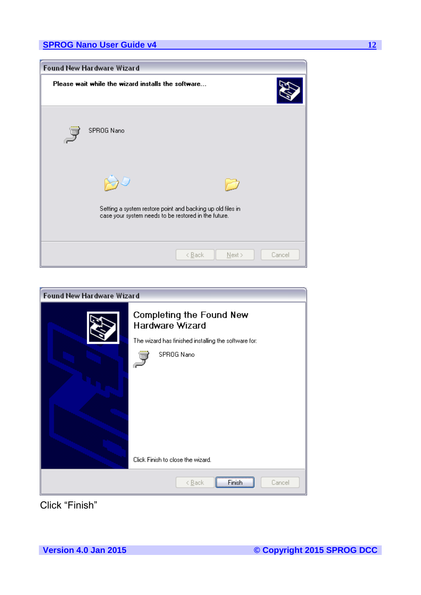



Click "Finish"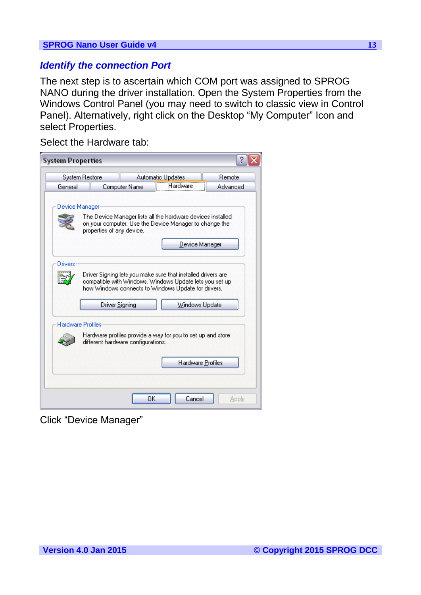#### <span id="page-12-0"></span>*Identify the connection Port*

The next step is to ascertain which COM port was assigned to SPROG NANO during the driver installation. Open the System Properties from the Windows Control Panel (you may need to switch to classic view in Control Panel). Alternatively, right click on the Desktop "My Computer" Icon and select Properties.

Select the Hardware tab:

| <b>System Properties</b> |                                                                                                                                                                                                  |                   |          |
|--------------------------|--------------------------------------------------------------------------------------------------------------------------------------------------------------------------------------------------|-------------------|----------|
|                          | System Restore                                                                                                                                                                                   | Automatic Updates | Remote   |
| General                  | Computer Name                                                                                                                                                                                    | Hardware          | Advanced |
| Device Manager           | The Device Manager lists all the hardware devices installed<br>on your computer. Use the Device Manager to change the<br>properties of any device.                                               | Device Manager    |          |
| Drivers                  | Driver Signing lets you make sure that installed drivers are<br>compatible with Windows. Windows Update lets you set up<br>how Windows connects to Windows Update for drivers.<br>Driver Signing | Windows Update    |          |
| <b>Hardware Profiles</b> | Hardware profiles provide a way for you to set up and store<br>different hardware configurations.                                                                                                |                   |          |
|                          |                                                                                                                                                                                                  | Hardware Profiles |          |
|                          |                                                                                                                                                                                                  | ΩK<br>Cancel      | Apply    |

Click "Device Manager"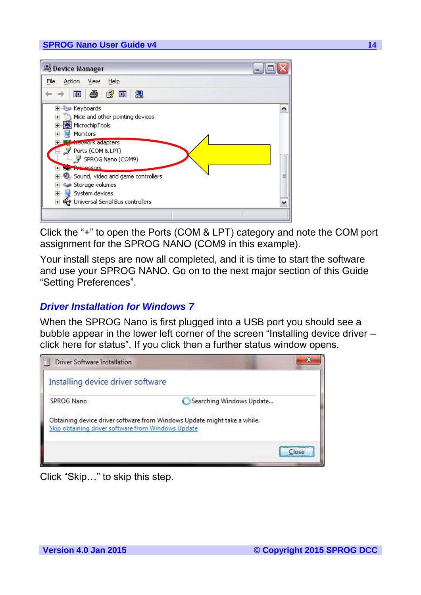

Click the "+" to open the Ports (COM & LPT) category and note the COM port assignment for the SPROG NANO (COM9 in this example).

<span id="page-13-0"></span>Your install steps are now all completed, and it is time to start the software and use your SPROG NANO. Go on to the next major section of this Guide "Setting Preferences".

### *Driver Installation for Windows 7*

When the SPROG Nano is first plugged into a USB port you should see a bubble appear in the lower left corner of the screen "Installing device driver – click here for status". If you click then a further status window opens.



Click "Skip…" to skip this step.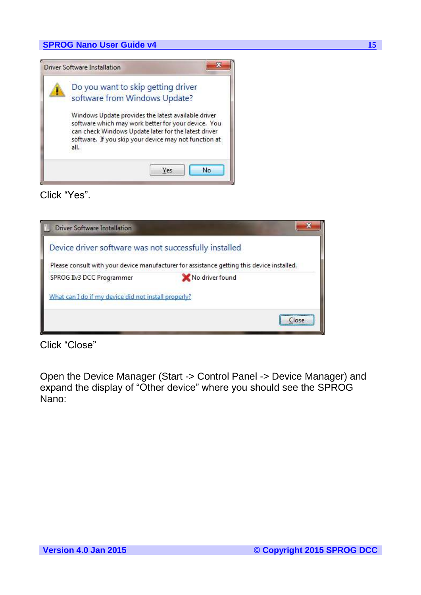

Click "Yes".

| <b>Driver Software Installation</b>                   |                                                                                            |  |  |  |  |  |  |  |
|-------------------------------------------------------|--------------------------------------------------------------------------------------------|--|--|--|--|--|--|--|
| Device driver software was not successfully installed |                                                                                            |  |  |  |  |  |  |  |
|                                                       | Please consult with your device manufacturer for assistance getting this device installed. |  |  |  |  |  |  |  |
| SPROG II <sub>V</sub> 3 DCC Programmer                | No driver found                                                                            |  |  |  |  |  |  |  |
| What can I do if my device did not install properly?  |                                                                                            |  |  |  |  |  |  |  |
|                                                       |                                                                                            |  |  |  |  |  |  |  |

Click "Close"

Open the Device Manager (Start -> Control Panel -> Device Manager) and expand the display of "Other device" where you should see the SPROG Nano: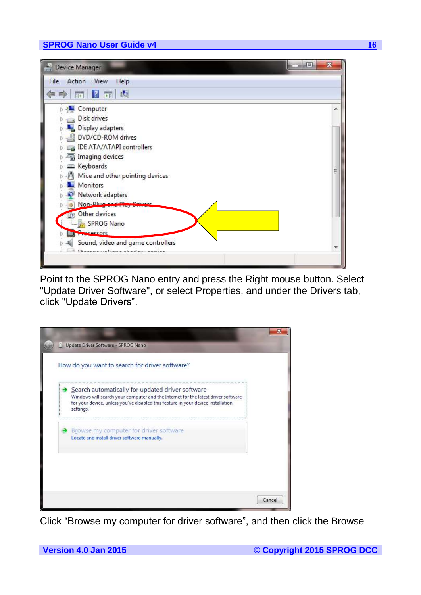

Point to the SPROG Nano entry and press the Right mouse button. Select "Update Driver Software", or select Properties, and under the Drivers tab, click "Update Drivers".

| Search automatically for updated driver software<br>Windows will search your computer and the Internet for the latest driver software<br>for your device, unless you've disabled this feature in your device installation |  |
|---------------------------------------------------------------------------------------------------------------------------------------------------------------------------------------------------------------------------|--|
| settings.                                                                                                                                                                                                                 |  |
| Browse my computer for driver software<br>Locate and install driver software manually.                                                                                                                                    |  |

Click "Browse my computer for driver software", and then click the Browse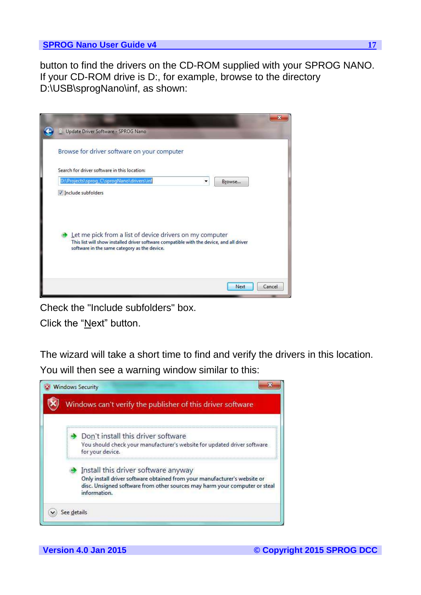button to find the drivers on the CD-ROM supplied with your SPROG NANO. If your CD-ROM drive is D:, for example, browse to the directory D:\USB\sprogNano\inf, as shown:

| Update Driver Software - SPROG Nano                                                                                                                                                                  |        |        |
|------------------------------------------------------------------------------------------------------------------------------------------------------------------------------------------------------|--------|--------|
| Browse for driver software on your computer                                                                                                                                                          |        |        |
| Search for driver software in this location:                                                                                                                                                         |        |        |
| D:\Projects\sprog_C\sprogNano\drivers\inf                                                                                                                                                            | Browse |        |
| Let me pick from a list of device drivers on my computer<br>This list will show installed driver software compatible with the device, and all driver<br>software in the same category as the device. |        |        |
|                                                                                                                                                                                                      | Next   | Cancel |

Check the "Include subfolders" box.

Click the "Next" button.

The wizard will take a short time to find and verify the drivers in this location. You will then see a warning window similar to this:

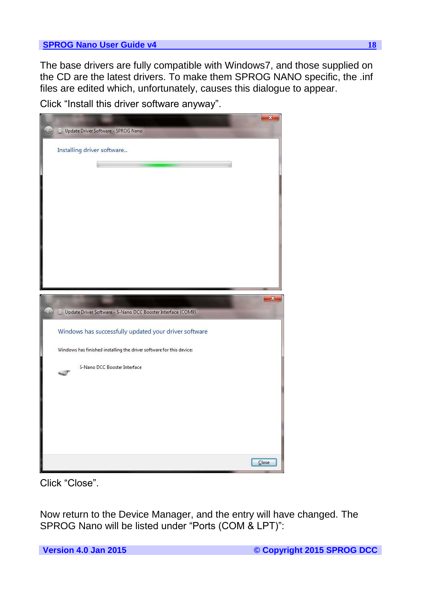The base drivers are fully compatible with Windows7, and those supplied on the CD are the latest drivers. To make them SPROG NANO specific, the .inf files are edited which, unfortunately, causes this dialogue to appear.

Click "Install this driver software anyway".



Click "Close".

Now return to the Device Manager, and the entry will have changed. The SPROG Nano will be listed under "Ports (COM & LPT)":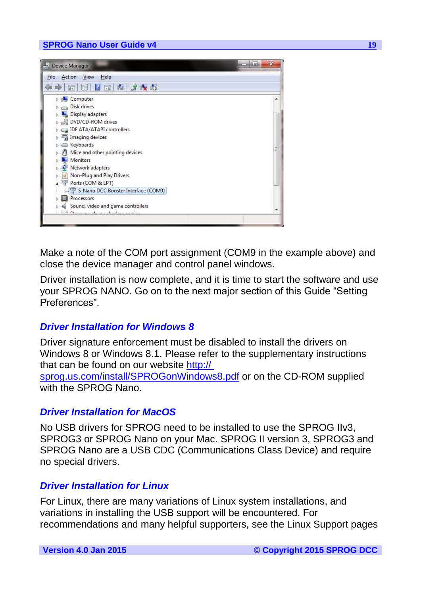

Make a note of the COM port assignment (COM9 in the example above) and close the device manager and control panel windows.

<span id="page-18-0"></span>Driver installation is now complete, and it is time to start the software and use your SPROG NANO. Go on to the next major section of this Guide "Setting Preferences".

#### *Driver Installation for Windows 8*

<span id="page-18-1"></span>Driver signature enforcement must be disabled to install the drivers on Windows 8 or Windows 8.1. Please refer to the supplementary instructions that can be found on our website http:// sprog.us.com/install/SPROGonWindows8.pdf or on the CD-ROM supplied with the SPROG Nano.

#### *Driver Installation for MacOS*

<span id="page-18-2"></span>No USB drivers for SPROG need to be installed to use the SPROG IIv3, SPROG3 or SPROG Nano on your Mac. SPROG II version 3, SPROG3 and SPROG Nano are a USB CDC (Communications Class Device) and require no special drivers.

#### *Driver Installation for Linux*

For Linux, there are many variations of Linux system installations, and variations in installing the USB support will be encountered. For recommendations and many helpful supporters, see the Linux Support pages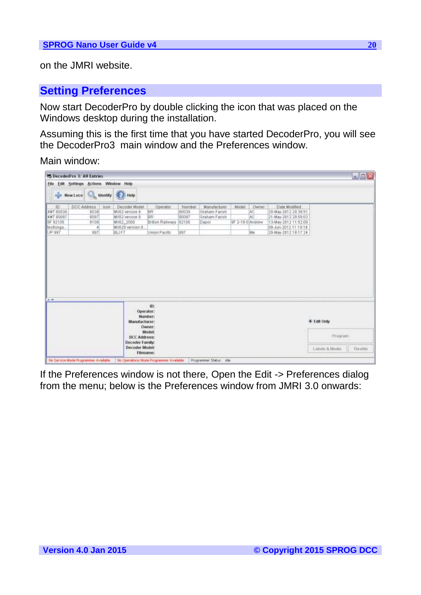<span id="page-19-0"></span>on the JMRI website.

## **Setting Preferences**

Now start DecoderPro by double clicking the icon that was placed on the Windows desktop during the installation.

Assuming this is the first time that you have started DecoderPro, you will see the DecoderPro3 main window and the Preferences window.

### Main window:

| File                                                              |             | <sup>24</sup> DecoderPro 3: All Entries<br><b>Edit Settings Actions Window Help</b> |                                                                                             |                                                                 |                                 |                                                         |                           |                                       |                                                                                                                                        |                        | $\blacksquare \square \times$ |
|-------------------------------------------------------------------|-------------|-------------------------------------------------------------------------------------|---------------------------------------------------------------------------------------------|-----------------------------------------------------------------|---------------------------------|---------------------------------------------------------|---------------------------|---------------------------------------|----------------------------------------------------------------------------------------------------------------------------------------|------------------------|-------------------------------|
|                                                                   | New Loco    | $\alpha$                                                                            | Identify <b>D</b> Help                                                                      |                                                                 |                                 |                                                         |                           |                                       |                                                                                                                                        |                        |                               |
| ID:<br>4MT 80038<br>4MT 80097<br>9F 92100<br>testiongs.<br>UP 997 | DCC Address | Iron<br>8038<br>8097<br>9108<br>997                                                 | Decoder Model<br>MX62 version 8<br>MX82 version 8<br>MX082 2000<br>MX620 version 9<br>BLIF7 | Operator<br>BR<br>8R<br>Eritish Railways 92100<br>Union Pacific | Number<br>80038<br>80097<br>997 | Manufacturer<br>Graham Farish<br>Graham Farish<br>Dapol | Model<br>9F 2-10-0 Andrew | <b>Owner</b><br>AC<br><b>AC</b><br>Me | Date Modified<br>20-May-2012.20:38:51<br>21-May-2012 20:59:03<br>13-May-2012 11:52:08<br>IDB-Jun-2012 11:19:19<br>20-May-2012 18:17:24 |                        |                               |
|                                                                   |             |                                                                                     |                                                                                             |                                                                 |                                 |                                                         |                           |                                       |                                                                                                                                        |                        |                               |
|                                                                   |             |                                                                                     |                                                                                             |                                                                 |                                 |                                                         |                           |                                       |                                                                                                                                        |                        |                               |
|                                                                   |             |                                                                                     |                                                                                             |                                                                 |                                 |                                                         |                           |                                       |                                                                                                                                        |                        |                               |
| $\frac{1}{2}$                                                     |             |                                                                                     |                                                                                             | iD:<br>Operator:                                                |                                 |                                                         |                           |                                       |                                                                                                                                        |                        |                               |
|                                                                   |             |                                                                                     | Manufacturer:<br><b>DCC Address:</b>                                                        | Number:<br>Owner:<br><b>Model:</b>                              |                                 |                                                         |                           |                                       |                                                                                                                                        | 图 Edit Only<br>Program |                               |

If the Preferences window is not there, Open the Edit -> Preferences dialog from the menu; below is the Preferences window from JMRI 3.0 onwards: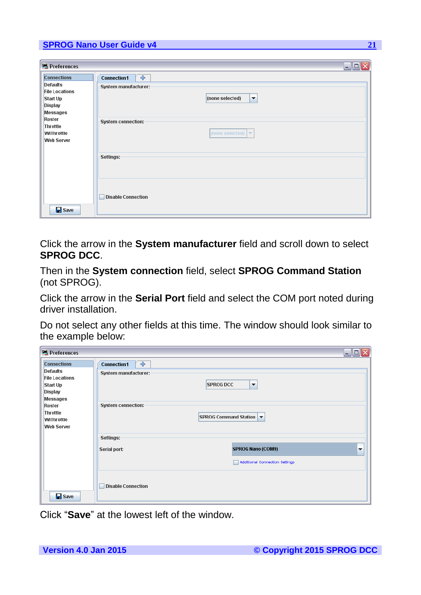| Preferences                                                                                       | $\Box$ o $\Box$                                                                                        |  |
|---------------------------------------------------------------------------------------------------|--------------------------------------------------------------------------------------------------------|--|
| <b>Connections</b><br><b>Defaults</b><br><b>File Locations</b><br>Start Up<br>Display<br>Messages | $\frac{1}{2}$<br><b>Connection1</b><br>System manufacturer:<br>(none selected)<br>$\blacktriangledown$ |  |
| Roster<br>Throttle<br>WiThrottle<br><b>Web Server</b>                                             | System connection:<br>(none selected) $\blacktriangleright$                                            |  |
|                                                                                                   | Settings:                                                                                              |  |
| $\mathbf{B}$ Save                                                                                 | <b>Disable Connection</b>                                                                              |  |

Click the arrow in the **System manufacturer** field and scroll down to select **SPROG DCC**.

Then in the **System connection** field, select **SPROG Command Station** (not SPROG).

Click the arrow in the **Serial Port** field and select the COM port noted during driver installation.

Do not select any other fields at this time. The window should look similar to the example below:

| Preferences                                                                                       |                                                                                                  | $\Box$ $\times$<br>ш. |
|---------------------------------------------------------------------------------------------------|--------------------------------------------------------------------------------------------------|-----------------------|
| <b>Connections</b><br><b>Defaults</b><br><b>File Locations</b><br>Start Up<br>Display<br>Messages | $\div$<br><b>Connection1</b><br>System manufacturer:<br><b>SPROG DCC</b><br>$\blacktriangledown$ |                       |
| Roster<br>Throttle<br>WiThrottle<br><b>Web Server</b>                                             | System connection:<br>SPROG Command Station                                                      |                       |
|                                                                                                   | -Settings:<br><b>SPROG Nano (COM9)</b><br>Serial port:<br>Additional Connection Settings         | $\blacktriangledown$  |
| $\Box$ Save                                                                                       | <b>Disable Connection</b>                                                                        |                       |

Click "**Save**" at the lowest left of the window.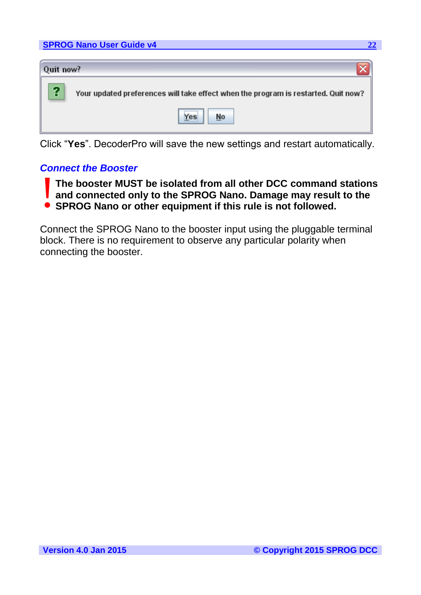|           | <b>SPROG Nano User Guide v4</b><br>22                                              |
|-----------|------------------------------------------------------------------------------------|
|           |                                                                                    |
| Quit now? |                                                                                    |
| የ         | Your updated preferences will take effect when the program is restarted. Quit now? |
|           | Yes<br>No                                                                          |

<span id="page-21-0"></span>Click "**Yes**". DecoderPro will save the new settings and restart automatically.

## *Connect the Booster*

- **The booster MUST be isolated from all other DCC command stations and connected only to the SPROG Nano. Damage may result to the**  The booster MUST be isolated from all other DCC command<br>and connected only to the SPROG Nano. Damage may resul<br>• SPROG Nano or other equipment if this rule is not followed.
	-

Connect the SPROG Nano to the booster input using the pluggable terminal block. There is no requirement to observe any particular polarity when connecting the booster.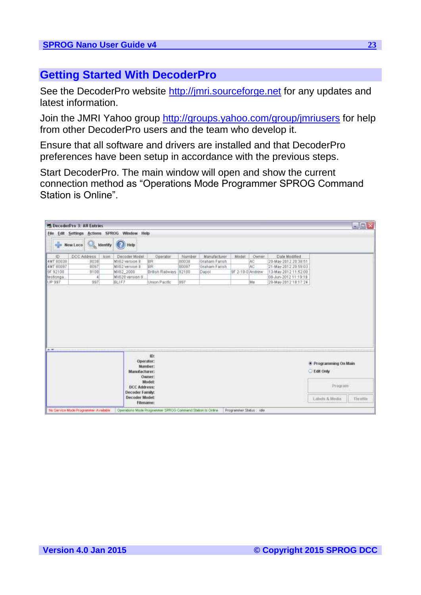## <span id="page-22-0"></span>**Getting Started With DecoderPro**

See the DecoderPro website http://jmri.sourceforge.net for any updates and latest information.

Join the JMRI Yahoo group<http://groups.yahoo.com/group/jmriusers> for help from other DecoderPro users and the team who develop it.

Ensure that all software and drivers are installed and that DecoderPro preferences have been setup in accordance with the previous steps.

Start DecoderPro. The main window will open and show the current connection method as "Operations Mode Programmer SPROG Command Station is Online".

| File                                                                    |             |                                  |      | Edit Settings Actions SPROG Window Help                                                     |                                                                        |                                 |                                                         |                           |                                 |                                                                                                                                        |                             | 風国文 |
|-------------------------------------------------------------------------|-------------|----------------------------------|------|---------------------------------------------------------------------------------------------|------------------------------------------------------------------------|---------------------------------|---------------------------------------------------------|---------------------------|---------------------------------|----------------------------------------------------------------------------------------------------------------------------------------|-----------------------------|-----|
| Identify <i>Help</i><br>tion New Loco                                   |             |                                  |      |                                                                                             |                                                                        |                                 |                                                         |                           |                                 |                                                                                                                                        |                             |     |
| ID<br><b>4MT 80038</b><br>4MT 80097<br>9F 92100<br>testiongs.<br>UP 997 | DCC Address | 8038<br>8097<br>9108<br>a<br>997 | Iron | Decoder Model<br>MX62 version 8<br>MX62 version 8<br>MX082 2000<br>MX620 version 9<br>BLIF7 | Operator<br>BR<br><b>BR</b><br>Eritish Railways 92100<br>Union Pacific | Number<br>80038<br>80097<br>997 | Manufacturer<br>Graham Farish<br>Graham Farish<br>Dapol | Model<br>9F 2-10-0 Andrew | <b>Owner</b><br>AC<br>AC.<br>Me | Date Modified<br>20-May-2012.20:38:51<br>21-May-2012 20:59:03<br>13-May-2012 11:52:08<br>IBB-Jun-2012 11:19:19<br>20-May-2012 18:17:24 |                             |     |
|                                                                         |             |                                  |      |                                                                                             |                                                                        |                                 |                                                         |                           |                                 |                                                                                                                                        |                             |     |
|                                                                         |             |                                  |      |                                                                                             |                                                                        |                                 |                                                         |                           |                                 |                                                                                                                                        |                             |     |
|                                                                         |             |                                  |      | Operator:                                                                                   | ID:                                                                    |                                 |                                                         |                           |                                 |                                                                                                                                        | * Programming On Main       |     |
| $A =$                                                                   |             |                                  |      | Manufacturer:<br><b>DCC Address:</b><br>Decoder Family:                                     | Number:<br>Owner:<br>Model:                                            |                                 |                                                         |                           |                                 |                                                                                                                                        | <b>Edit Only</b><br>Program |     |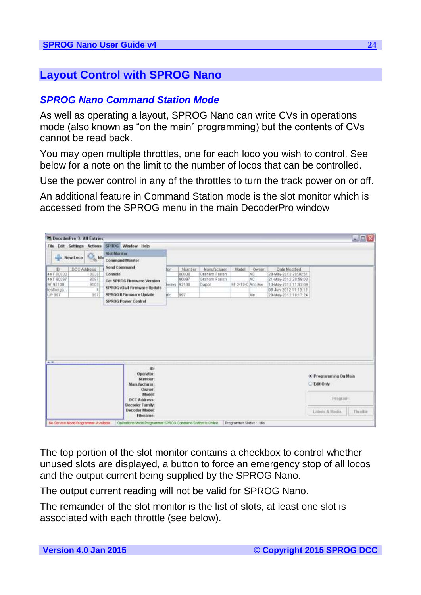## <span id="page-23-1"></span><span id="page-23-0"></span>**Layout Control with SPROG Nano**

## *SPROG Nano Command Station Mode*

As well as operating a layout, SPROG Nano can write CVs in operations mode (also known as "on the main" programming) but the contents of CVs cannot be read back.

You may open multiple throttles, one for each loco you wish to control. See below for a note on the limit to the number of locos that can be controlled.

Use the power control in any of the throttles to turn the track power on or off.

An additional feature in Command Station mode is the slot monitor which is accessed from the SPROG menu in the main DecoderPro window

| File             | <b>Edit Settings Actions</b> | SPROG Window Help                                      |      |             |               |                  |              |                       | $\square$ $\square$                       |
|------------------|------------------------------|--------------------------------------------------------|------|-------------|---------------|------------------|--------------|-----------------------|-------------------------------------------|
| New Leco         | A Ide                        | <b>Slot Monitor</b><br><b>Command Monitor</b>          |      |             |               |                  |              |                       |                                           |
| ID:              | DCC Address                  | Send Command                                           | lor: | Number      | Manufacturer  | Model            | <b>Owner</b> | Date Modified         |                                           |
| <b>4MT 80038</b> | 8038                         | Console                                                |      | 80038       | Graham Farish |                  | AC           | 20-May-2012 20:38:51  |                                           |
| <b>4MT 80097</b> | 8097                         | Get SPROG Firmware Version                             |      | 80097       | Graham Farish |                  | AC.          | 21-May-2012 20:59:03  |                                           |
| 9F 92100         | 9108                         | SPROG v3/v4 Firmware Update                            |      | witys 92100 | Dapot         | 9F 2-10-0 Andrew |              | 13-May-2012 11:52:08  |                                           |
| testiongs.       |                              |                                                        |      |             |               |                  |              | IBB-Jun-2012 11:19:19 |                                           |
| UP:997           | 997                          | SPROG Il Firmware Update                               | in.  | 997         |               |                  | Me           | 20-May-2012 18:17:24  |                                           |
|                  |                              |                                                        |      |             |               |                  |              |                       |                                           |
|                  |                              |                                                        |      |             |               |                  |              |                       |                                           |
| $A = 1$          |                              | iD:<br>Operator:<br>Number:<br>Manufacturer:<br>Owner: |      |             |               |                  |              |                       | * Programming On Main<br><b>Edit Only</b> |
|                  |                              | Model:                                                 |      |             |               |                  |              |                       | Program                                   |
|                  |                              | <b>DCC Address:</b>                                    |      |             |               |                  |              |                       |                                           |
|                  |                              | Decoder Family:<br><b>Decoder Model:</b>               |      |             |               |                  |              |                       | Labels & Media<br>Thrattia                |

The top portion of the slot monitor contains a checkbox to control whether unused slots are displayed, a button to force an emergency stop of all locos and the output current being supplied by the SPROG Nano.

The output current reading will not be valid for SPROG Nano.

The remainder of the slot monitor is the list of slots, at least one slot is associated with each throttle (see below).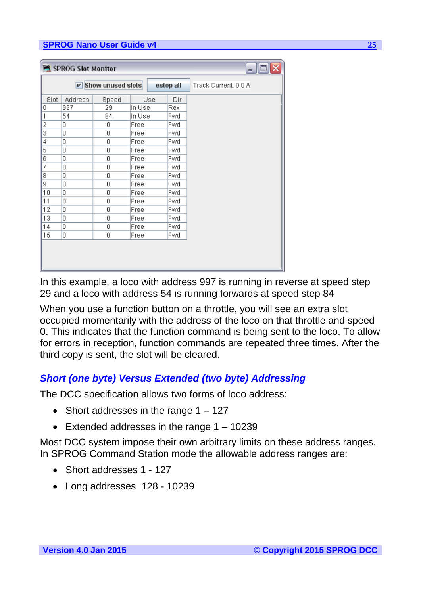|                | SPROG Slot Monitor<br>- 1 |                         |        |     |           |                      |  |  |  |
|----------------|---------------------------|-------------------------|--------|-----|-----------|----------------------|--|--|--|
|                |                           | $\nu$ Show unused slots |        |     | estop all | Track Current: 0.0 A |  |  |  |
| Slot           | <b>Address</b>            | Speed                   |        | Use | Dir       |                      |  |  |  |
| 0              | 997                       | 29                      | In Use |     | Rev       |                      |  |  |  |
| 1              | 54                        | 84                      | In Use |     | Fwd       |                      |  |  |  |
| $\overline{c}$ | 0                         | 0                       | Free   |     | Fwd       |                      |  |  |  |
| 3              | 0                         | 0                       | Free   |     | Fwd       |                      |  |  |  |
| 4              | 0                         | 0                       | Free   |     | Fwd       |                      |  |  |  |
| 5              | 0                         | 0                       | Free   |     | Fwd       |                      |  |  |  |
| 6              | 0                         | 0                       | Free   |     | Fwd       |                      |  |  |  |
| 7              | 0                         | 0                       | Free   |     | Fwd       |                      |  |  |  |
| 8              | 0                         | 0                       | Free   |     | Fwd       |                      |  |  |  |
| 9              | 0                         | 0                       | Free   |     | Fwd       |                      |  |  |  |
| 10             | 0                         | 0                       | Free   |     | Fwd       |                      |  |  |  |
| 11             | 0                         | 0                       | Free   |     | Fwd       |                      |  |  |  |
| 12             | 0                         | 0                       | Free   |     | Fwd       |                      |  |  |  |
| 13             | 0                         | 0                       | Free   |     | Fwd       |                      |  |  |  |
| 14             | 0                         | 0                       | Free   |     | Fwd       |                      |  |  |  |
| 15             | 0                         | 0                       | Free   |     | Fwd       |                      |  |  |  |
|                |                           |                         |        |     |           |                      |  |  |  |

In this example, a loco with address 997 is running in reverse at speed step 29 and a loco with address 54 is running forwards at speed step 84

<span id="page-24-0"></span>When you use a function button on a throttle, you will see an extra slot occupied momentarily with the address of the loco on that throttle and speed 0. This indicates that the function command is being sent to the loco. To allow for errors in reception, function commands are repeated three times. After the third copy is sent, the slot will be cleared.

## *Short (one byte) Versus Extended (two byte) Addressing*

The DCC specification allows two forms of loco address:

- Short addresses in the range  $1 127$
- Extended addresses in the range  $1 10239$

Most DCC system impose their own arbitrary limits on these address ranges. In SPROG Command Station mode the allowable address ranges are:

- Short addresses 1 127
- Long addresses 128 10239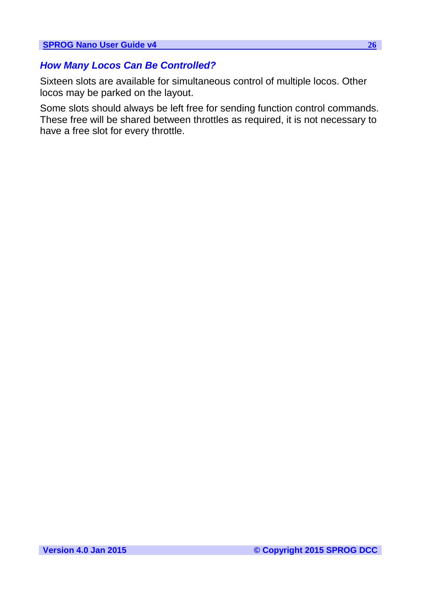## <span id="page-25-0"></span>*How Many Locos Can Be Controlled?*

Sixteen slots are available for simultaneous control of multiple locos. Other locos may be parked on the layout.

Some slots should always be left free for sending function control commands. These free will be shared between throttles as required, it is not necessary to have a free slot for every throttle.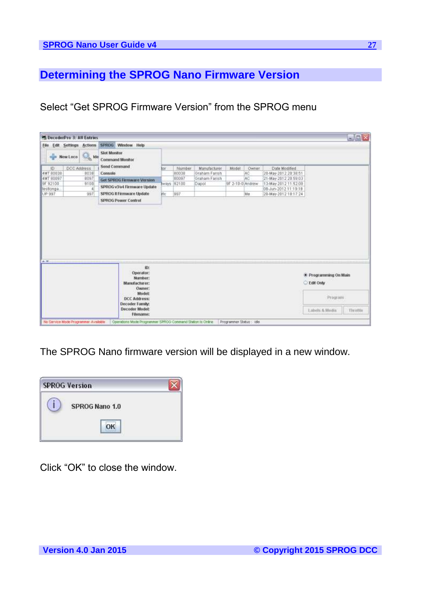## <span id="page-26-0"></span>**Determining the SPROG Nano Firmware Version**

Select "Get SPROG Firmware Version" from the SPROG menu

| File             | <b>Edit Settings Actions</b>     | SPROG Window Help                                                           |      |             |               |                  |              |                      |                             |  |
|------------------|----------------------------------|-----------------------------------------------------------------------------|------|-------------|---------------|------------------|--------------|----------------------|-----------------------------|--|
|                  | $\alpha$ to $\alpha$<br>New Leco | <b>Slot Monitor</b><br><b>Command Monitor</b>                               |      |             |               |                  |              |                      |                             |  |
| ID               | DCC Address                      | Send Command                                                                | lor: | Number      | Manufacturer  | Model            | <b>Owner</b> | Date Modified        |                             |  |
| 4MT 80038        | 8038                             | Console                                                                     |      | 80038       | Staham Farish |                  | AC           | 20-May-2012.20:38:51 |                             |  |
| <b>4MT 80097</b> | 8097                             | Get SPROG Firmware Version                                                  |      | 80097       | Graham Farish |                  | <b>AC</b>    | 21-May-2012 20:59:03 |                             |  |
| GF 92100         | 9108                             | SPROG v3/v4 Firmware Update                                                 |      | wirys 92100 | Dapot         | 9F 2-10-0 Andrew |              | 13-May-2012 11:52:08 |                             |  |
| testiongs.       |                                  |                                                                             |      |             |               |                  |              | 08-Jun-2012 11:19:19 |                             |  |
| UP 997           | 997                              | SPROG Il Firmware Update                                                    | in.  | 997         |               |                  | Me           | 20-May-2012 18:17:24 |                             |  |
|                  |                                  | <b>SPROG Power Control</b>                                                  |      |             |               |                  |              |                      |                             |  |
|                  |                                  |                                                                             |      |             |               |                  |              |                      |                             |  |
|                  |                                  | iD:<br>Operator:<br>Number:                                                 |      |             |               |                  |              |                      | * Programming On Main       |  |
| $A = 1$          |                                  | Manufacturer:<br>Owner:<br>Model:<br><b>DCC Address:</b><br>Decoder Family: |      |             |               |                  |              |                      | <b>Edit Only</b><br>Program |  |

The SPROG Nano firmware version will be displayed in a new window.



Click "OK" to close the window.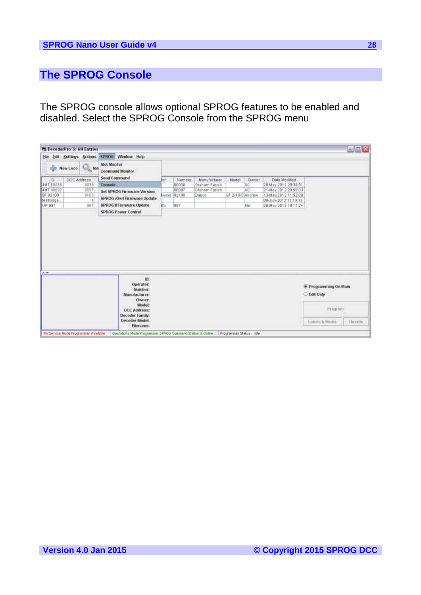## <span id="page-27-0"></span>**The SPROG Console**

The SPROG console allows optional SPROG features to be enabled and disabled. Select the SPROG Console from the SPROG menu

| File       | <b>Edit Settings Actions</b> | SPROG Window Help                                          |       |        |               |                  |              |                      |                                           |  |
|------------|------------------------------|------------------------------------------------------------|-------|--------|---------------|------------------|--------------|----------------------|-------------------------------------------|--|
| alla.      | $\sim$ kde<br>New Leco       | <b>Slot Monitor</b><br><b>Command Monitor</b>              |       |        |               |                  |              |                      |                                           |  |
| ID         | DCC Address                  | Send Command                                               | lor.  | Number | Manufacturer  | Model            | <b>Owner</b> | Date Modified        |                                           |  |
| 4MT 80038  | 8038                         | Console                                                    |       | 80038  | Graham Farish |                  | AC           | 20-May-2012.20:38:51 |                                           |  |
| 4MT 80097  | 8097                         | Get SPROG Firmware Version                                 |       | 80097  | Graham Farish |                  | AC.          | 21-May-2012 20:59:03 |                                           |  |
| 9F 92100   | 9108                         | SPROG v3/v4 Firmware Update                                | wins: | 92100  | Dapot         | 9F 2-10-0 Andrew |              | 13-May-2012 11:52:08 |                                           |  |
| testiongs. |                              |                                                            |       |        |               |                  |              | 08-Jun-2012 11:19:19 |                                           |  |
| UP 997     | 997                          | SPROG Il Firmware Update<br><b>SPROG Power Control</b>     | in.   | 997    |               |                  | Me           | 20-May-2012 18:17:24 |                                           |  |
|            |                              |                                                            |       |        |               |                  |              |                      |                                           |  |
|            |                              |                                                            |       |        |               |                  |              |                      |                                           |  |
|            |                              | it):<br>Operator:<br>Number:<br>Manufacturer:              |       |        |               |                  |              |                      | * Programming On Main<br><b>Edit Only</b> |  |
| $A = 1$    |                              | Owner:<br>Model:<br><b>DCC Address:</b><br>Decoder Family: |       |        |               |                  |              |                      | Program                                   |  |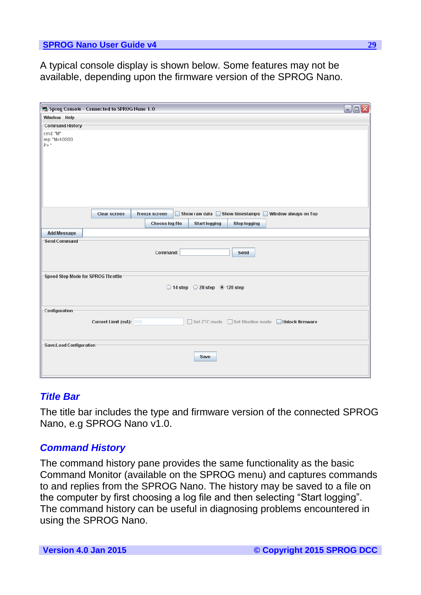A typical console display is shown below. Some features may not be available, depending upon the firmware version of the SPROG Nano.

|                                    | Sprog Console - Connected to SPROG Nano 1.0                                                | $\Box$ o $\times$ |
|------------------------------------|--------------------------------------------------------------------------------------------|-------------------|
| Window Help                        |                                                                                            |                   |
| Command History                    |                                                                                            |                   |
| cmd: "M"<br>rep: "M=h0800<br>P>"   |                                                                                            |                   |
|                                    | Show raw data Show timestamps Window always on Top<br>Clear screen<br><b>Freeze screen</b> |                   |
|                                    | Choose log file<br><b>Start logging</b><br><b>Stop logging</b>                             |                   |
| <b>Add Message</b>                 |                                                                                            |                   |
| <b>Send Command</b>                | Command:<br>Send                                                                           |                   |
| Speed Step Mode for SPROG Throttle | $\bigcirc$ 14 step $\bigcirc$ 28 step $\circledast$ 128 step                               |                   |
| -Configuration                     | Current Limit (mA): 996<br>Set ZTC mode Set Blueline mode Unlock firmware                  |                   |
| Save/Load Configuration            | Save                                                                                       |                   |

#### <span id="page-28-1"></span><span id="page-28-0"></span>*Title Bar*

The title bar includes the type and firmware version of the connected SPROG Nano, e.g SPROG Nano v1.0.

### *Command History*

The command history pane provides the same functionality as the basic Command Monitor (available on the SPROG menu) and captures commands to and replies from the SPROG Nano. The history may be saved to a file on the computer by first choosing a log file and then selecting "Start logging". The command history can be useful in diagnosing problems encountered in using the SPROG Nano.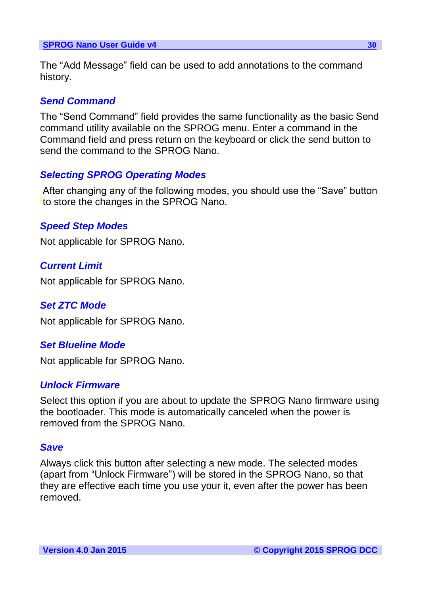<span id="page-29-0"></span>The "Add Message" field can be used to add annotations to the command history.

## *Send Command*

<span id="page-29-1"></span>The "Send Command" field provides the same functionality as the basic Send command utility available on the SPROG menu. Enter a command in the Command field and press return on the keyboard or click the send button to send the command to the SPROG Nano.

## <span id="page-29-2"></span>*Selecting SPROG Operating Modes*

After changing any of the following modes, you should use the "Save" button to store the changes in the SPROG Nano.

## <span id="page-29-3"></span>*Speed Step Modes*

Not applicable for SPROG Nano.

## <span id="page-29-4"></span>*Current Limit*

Not applicable for SPROG Nano.

### <span id="page-29-5"></span>*Set ZTC Mode*

Not applicable for SPROG Nano.

### <span id="page-29-6"></span>*Set Blueline Mode*

Not applicable for SPROG Nano.

### *Unlock Firmware*

<span id="page-29-7"></span>Select this option if you are about to update the SPROG Nano firmware using the bootloader. This mode is automatically canceled when the power is removed from the SPROG Nano.

### *Save*

Always click this button after selecting a new mode. The selected modes (apart from "Unlock Firmware") will be stored in the SPROG Nano, so that they are effective each time you use your it, even after the power has been removed.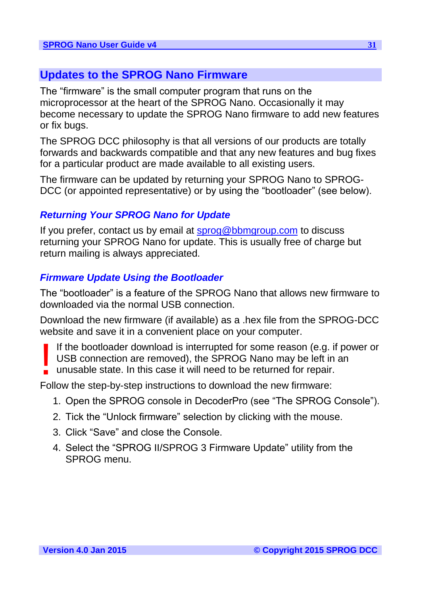## <span id="page-30-0"></span>**Updates to the SPROG Nano Firmware**

The "firmware" is the small computer program that runs on the microprocessor at the heart of the SPROG Nano. Occasionally it may become necessary to update the SPROG Nano firmware to add new features or fix bugs.

The SPROG DCC philosophy is that all versions of our products are totally forwards and backwards compatible and that any new features and bug fixes for a particular product are made available to all existing users.

<span id="page-30-1"></span>The firmware can be updated by returning your SPROG Nano to SPROG-DCC (or appointed representative) or by using the "bootloader" (see below).

## *Returning Your SPROG Nano for Update*

<span id="page-30-2"></span>If you prefer, contact us by email at [sprog@bbmgroup.com](mailto:sprog@bbmgroup.com) to discuss returning your SPROG Nano for update. This is usually free of charge but return mailing is always appreciated.

## *Firmware Update Using the Bootloader*

The "bootloader" is a feature of the SPROG Nano that allows new firmware to downloaded via the normal USB connection.

Download the new firmware (if available) as a .hex file from the SPROG-DCC website and save it in a convenient place on your computer.

If the bootloader download is interrupted for some reason (e.g. if power or USB connection are removed), the SPROG Nano may be left in an unusable state. In this case it will need to be returned for repair. !<br>!

Follow the step-by-step instructions to download the new firmware:

- 1. Open the SPROG console in DecoderPro (see "The SPROG Console").
- 2. Tick the "Unlock firmware" selection by clicking with the mouse.
- 3. Click "Save" and close the Console.
- 4. Select the "SPROG II/SPROG 3 Firmware Update" utility from the SPROG menu.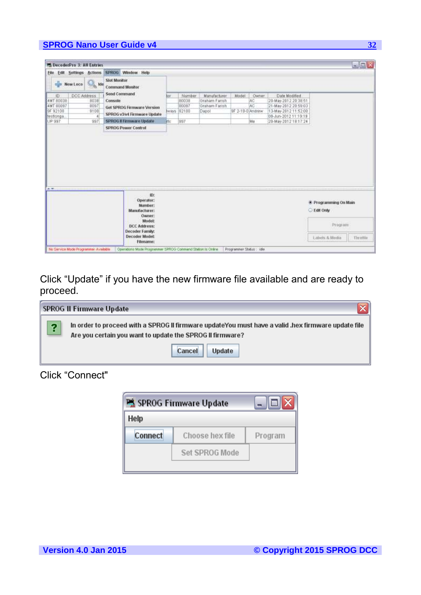|                  | <sup>24</sup> DecoderPro 3: All Entries                                                   |      |                                     |       |            |               |                  |        |                      | <b>BEX</b>                 |
|------------------|-------------------------------------------------------------------------------------------|------|-------------------------------------|-------|------------|---------------|------------------|--------|----------------------|----------------------------|
| File<br>Edit     | Sattings Actions                                                                          |      | SPROG Window Help                   |       |            |               |                  |        |                      |                            |
|                  | <b>Slot Monitor</b><br><b>A</b> Ide<br>New Leco<br><b>Command Monitor</b><br>Send Command |      |                                     |       |            |               |                  |        |                      |                            |
| ID:              | DCC Address                                                                               |      |                                     | tor:  | Number     | Manufacturer  | Model            | Owner: | Date Modified        |                            |
| <b>4MT 80038</b> |                                                                                           | 8038 | Console                             |       | 80038      | Graham Farish |                  | AC     | 20-May-2012.20:38:51 |                            |
| <b>4MT 80097</b> |                                                                                           | 8097 | Get SPROG Firmware Version          |       | 80097      | Graham Farish |                  | ÄG.    | 21-May-2012 20:59:03 |                            |
| 9F 92100         |                                                                                           | 9108 | SPROG v3/v4 Firmware Update         |       | ways 92100 | Dapol         | 9F 2-10-0 Andrew |        | 13-May-2012 11:52:08 |                            |
| testiongs.       |                                                                                           |      |                                     |       |            |               |                  |        | DB-Jun-2012 11:19:19 |                            |
| UP:997           |                                                                                           | 997  | SPROG Il Firmware Update            | ific. | 997        |               |                  | Me     | 20-May-2012 18:17:24 |                            |
|                  |                                                                                           |      | <b>SPROG Power Control</b>          |       |            |               |                  |        |                      |                            |
|                  |                                                                                           |      |                                     |       |            |               |                  |        |                      |                            |
|                  |                                                                                           |      | it):                                |       |            |               |                  |        |                      |                            |
|                  |                                                                                           |      | Operator:                           |       |            |               |                  |        |                      |                            |
|                  |                                                                                           |      | Number:                             |       |            |               |                  |        |                      | * Programming On Main      |
|                  |                                                                                           |      | Manufacturer:                       |       |            |               |                  |        |                      | <b>Edit Only</b>           |
|                  |                                                                                           |      | Owner:                              |       |            |               |                  |        |                      |                            |
|                  |                                                                                           |      | <b>Model:</b>                       |       |            |               |                  |        |                      |                            |
|                  |                                                                                           |      | <b>DCC Address:</b>                 |       |            |               |                  |        |                      | Program                    |
| $A = 1$          |                                                                                           |      | Decoder Family.                     |       |            |               |                  |        |                      |                            |
|                  |                                                                                           |      | <b>Decoder Model:</b><br>Filemanne: |       |            |               |                  |        |                      | Labels & Media<br>Thrattie |

Click "Update" if you have the new firmware file available and are ready to proceed.

|        | SPROG II Firmware Update                                                                                                                                        |  |  |  |  |  |
|--------|-----------------------------------------------------------------------------------------------------------------------------------------------------------------|--|--|--|--|--|
| G<br>н | In order to proceed with a SPROG II firmware updateYou must have a valid .hex firmware update file<br>Are you certain you want to update the SPROG II firmware? |  |  |  |  |  |
|        | <b>Update</b><br>Cancel                                                                                                                                         |  |  |  |  |  |

## Click "Connect"

| SPROG Firmware Update |                       |         |  |  |  |  |
|-----------------------|-----------------------|---------|--|--|--|--|
| Help                  |                       |         |  |  |  |  |
| <b>Connect</b>        | Choose hex file       | Program |  |  |  |  |
|                       | <b>Set SPROG Mode</b> |         |  |  |  |  |
|                       |                       |         |  |  |  |  |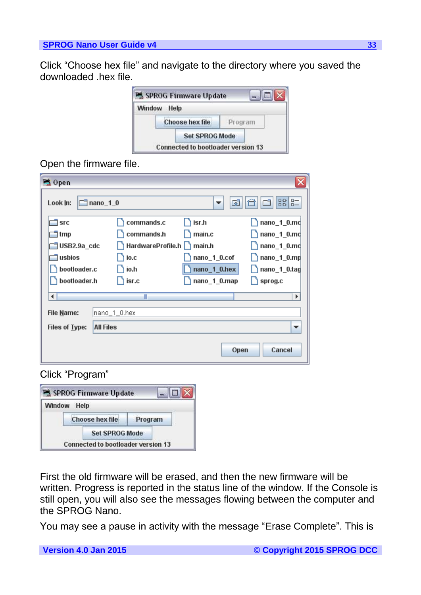Click "Choose hex file" and navigate to the directory where you saved the downloaded .hex file.



## Open the firmware file.

| <sup>D</sup> <sub>4</sub> Open |                      |                   |              | x              |
|--------------------------------|----------------------|-------------------|--------------|----------------|
| Look In:                       | $\Box$ nano $\Box$ 0 |                   | ශ්<br>▼      | $B - 1B - 1$   |
| <b>SFC</b>                     |                      | commands.c        | isr.h        | nano_1_0.md    |
| tmp                            |                      | commands.h        | main.c       | nano_1_0.md    |
| USB2.9a_cdc                    |                      | HardwareProfile.h | main.h       | nano_1_0.mc    |
| usbios                         |                      | ) io.c            | nano_1_0.cof | nano_1_0.mp    |
| bootloader.c                   |                      | ∖ io.h            | nano_1_0.hex | nano_1_0.tag   |
| bootloader.h                   |                      | isr.c             | nano_1_0.map | sprog.c        |
| ∢                              |                      | Ш                 |              | ٠              |
| File Name:                     |                      | nano_1_0.hex      |              |                |
| Files of Type:                 | <b>All Files</b>     |                   |              |                |
|                                |                      |                   |              | Cancel<br>Open |

### Click "Program"



First the old firmware will be erased, and then the new firmware will be written. Progress is reported in the status line of the window. If the Console is still open, you will also see the messages flowing between the computer and the SPROG Nano.

You may see a pause in activity with the message "Erase Complete". This is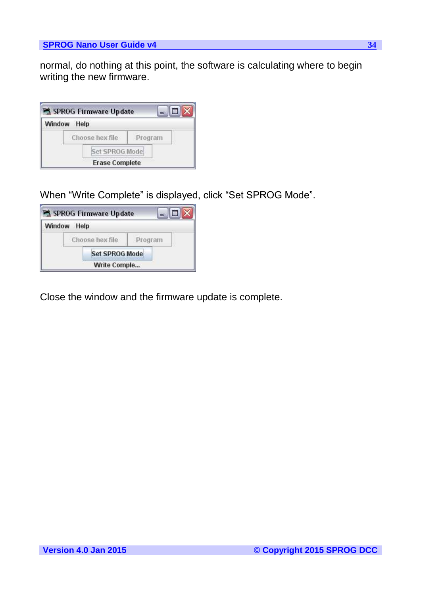normal, do nothing at this point, the software is calculating where to begin writing the new firmware.

|               | SPROG Firmware Update |         |  |
|---------------|-----------------------|---------|--|
| <b>Window</b> | Help                  |         |  |
|               | Choose hex file       | Program |  |
|               | Set SPROG Mode        |         |  |
|               | <b>Erase Complete</b> |         |  |

When "Write Complete" is displayed, click "Set SPROG Mode".

|        | SPROG Firmware Update |         |  |
|--------|-----------------------|---------|--|
| Window | Help                  |         |  |
|        | Choose hex file       | Program |  |
|        | <b>Set SPROG Mode</b> |         |  |
|        | Write Comple          |         |  |

Close the window and the firmware update is complete.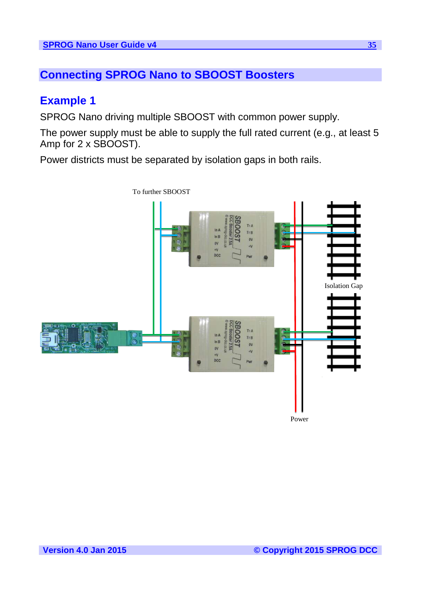## <span id="page-34-1"></span><span id="page-34-0"></span>**Connecting SPROG Nano to SBOOST Boosters**

## **Example 1**

SPROG Nano driving multiple SBOOST with common power supply.

The power supply must be able to supply the full rated current (e.g., at least 5 Amp for 2 x SBOOST).

Power districts must be separated by isolation gaps in both rails.

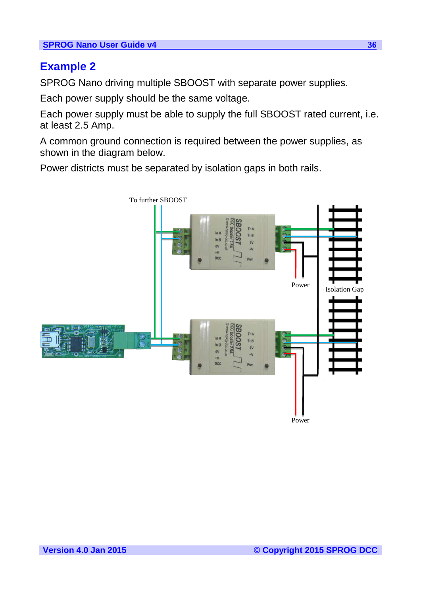## <span id="page-35-0"></span>**Example 2**

SPROG Nano driving multiple SBOOST with separate power supplies.

Each power supply should be the same voltage.

Each power supply must be able to supply the full SBOOST rated current, i.e. at least 2.5 Amp.

A common ground connection is required between the power supplies, as shown in the diagram below.

Power districts must be separated by isolation gaps in both rails.

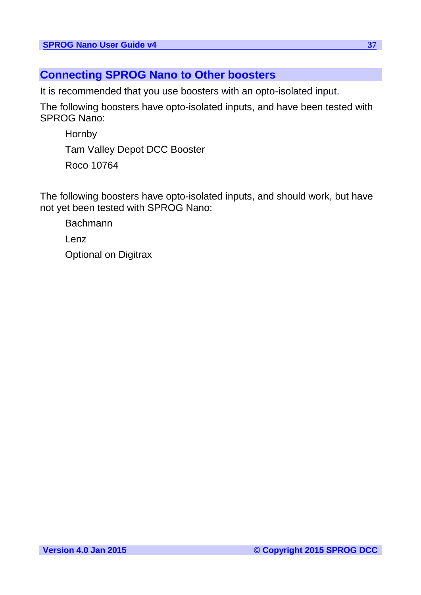## <span id="page-36-0"></span>**Connecting SPROG Nano to Other boosters**

It is recommended that you use boosters with an opto-isolated input.

The following boosters have opto-isolated inputs, and have been tested with SPROG Nano:

**Hornby** Tam Valley Depot DCC Booster Roco 10764

The following boosters have opto-isolated inputs, and should work, but have not yet been tested with SPROG Nano:

Bachmann Lenz Optional on Digitrax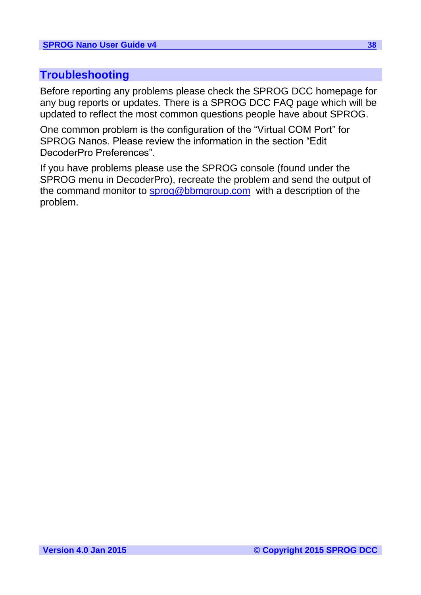## <span id="page-37-0"></span>**Troubleshooting**

Before reporting any problems please check the SPROG DCC homepage for any bug reports or updates. There is a SPROG DCC FAQ page which will be updated to reflect the most common questions people have about SPROG.

One common problem is the configuration of the "Virtual COM Port" for SPROG Nanos. Please review the information in the section "Edit DecoderPro Preferences".

If you have problems please use the SPROG console (found under the SPROG menu in DecoderPro), recreate the problem and send the output of the command monitor to [sprog@bbmgroup.com](mailto:sprog@bbmgroup.com) with a description of the problem.